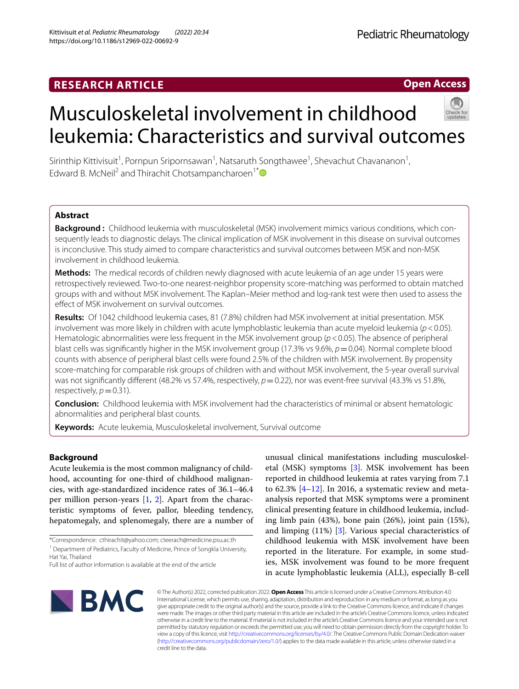https://doi.org/10.1186/s12969-022-00692-9

Kittivisuit *et al. Pediatric Rheumatology (2022) 20:34* 

# Musculoskeletal involvement in childhood leukemia: Characteristics and survival outcomes

Sirinthip Kittivisuit<sup>1</sup>, Pornpun Sripornsawan<sup>1</sup>, Natsaruth Songthawee<sup>1</sup>, Shevachut Chavananon<sup>1</sup>, Edward B. McNeil<sup>2</sup> and Thirachit Chotsampancharoen<sup>1\*</sup>

# **Abstract**

**Background :** Childhood leukemia with musculoskeletal (MSK) involvement mimics various conditions, which consequently leads to diagnostic delays. The clinical implication of MSK involvement in this disease on survival outcomes is inconclusive. This study aimed to compare characteristics and survival outcomes between MSK and non-MSK involvement in childhood leukemia.

**Methods:** The medical records of children newly diagnosed with acute leukemia of an age under 15 years were retrospectively reviewed. Two-to-one nearest-neighbor propensity score-matching was performed to obtain matched groups with and without MSK involvement. The Kaplan–Meier method and log-rank test were then used to assess the efect of MSK involvement on survival outcomes.

**Results:** Of 1042 childhood leukemia cases, 81 (7.8%) children had MSK involvement at initial presentation. MSK involvement was more likely in children with acute lymphoblastic leukemia than acute myeloid leukemia (*p*<0.05). Hematologic abnormalities were less frequent in the MSK involvement group (*p*<0.05). The absence of peripheral blast cells was signifcantly higher in the MSK involvement group (17.3% vs 9.6%, *p*=0.04). Normal complete blood counts with absence of peripheral blast cells were found 2.5% of the children with MSK involvement. By propensity score-matching for comparable risk groups of children with and without MSK involvement, the 5-year overall survival was not significantly different (48.2% vs 57.4%, respectively,  $p=0.22$ ), nor was event-free survival (43.3% vs 51.8%, respectively,  $p=0.31$ ).

**Conclusion:** Childhood leukemia with MSK involvement had the characteristics of minimal or absent hematologic abnormalities and peripheral blast counts.

**Keywords:** Acute leukemia, Musculoskeletal involvement, Survival outcome

# **Background**

Acute leukemia is the most common malignancy of childhood, accounting for one-third of childhood malignancies, with age-standardized incidence rates of 36.1–46.4 per million person-years [[1,](#page-6-0) [2\]](#page-6-1). Apart from the characteristic symptoms of fever, pallor, bleeding tendency, hepatomegaly, and splenomegaly, there are a number of

\*Correspondence: cthirachit@yahoo.com; cteerach@medicine.psu.ac.th

<sup>1</sup> Department of Pediatrics, Faculty of Medicine, Prince of Songkla University, Hat Yai, Thailand

unusual clinical manifestations including musculoskeletal (MSK) symptoms [[3](#page-6-2)]. MSK involvement has been reported in childhood leukemia at rates varying from 7.1 to  $62.3\%$   $[4-12]$  $[4-12]$ . In 2016, a systematic review and metaanalysis reported that MSK symptoms were a prominent clinical presenting feature in childhood leukemia, including limb pain (43%), bone pain (26%), joint pain (15%), and limping (11%) [[3\]](#page-6-2). Various special characteristics of childhood leukemia with MSK involvement have been reported in the literature. For example, in some studies, MSK involvement was found to be more frequent in acute lymphoblastic leukemia (ALL), especially B-cell



© The Author(s) 2022, corrected publication 2022. **Open Access** This article is licensed under a Creative Commons Attribution 4.0 International License, which permits use, sharing, adaptation, distribution and reproduction in any medium or format, as long as you give appropriate credit to the original author(s) and the source, provide a link to the Creative Commons licence, and indicate if changes were made. The images or other third party material in this article are included in the article's Creative Commons licence, unless indicated otherwise in a credit line to the material. If material is not included in the article's Creative Commons licence and your intended use is not permitted by statutory regulation or exceeds the permitted use, you will need to obtain permission directly from the copyright holder. To view a copy of this licence, visit [http://creativecommons.org/licenses/by/4.0/.](http://creativecommons.org/licenses/by/4.0/) The Creative Commons Public Domain Dedication waiver [\(http://creativecommons.org/publicdomain/zero/1.0/\)](http://creativecommons.org/publicdomain/zero/1.0/) applies to the data made available in this article, unless otherwise stated in a credit line to the data.



**Open Access**

Pediatric Rheumatology

Full list of author information is available at the end of the article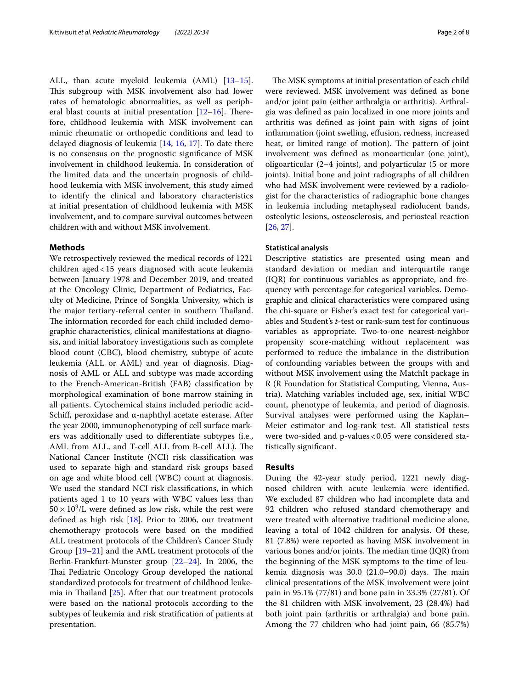ALL, than acute myeloid leukemia (AML) [[13](#page-6-5)[–15](#page-6-6)]. This subgroup with MSK involvement also had lower rates of hematologic abnormalities, as well as peripheral blast counts at initial presentation  $[12-16]$  $[12-16]$ . Therefore, childhood leukemia with MSK involvement can mimic rheumatic or orthopedic conditions and lead to delayed diagnosis of leukemia [\[14](#page-6-8), [16](#page-6-7), [17\]](#page-6-9). To date there is no consensus on the prognostic signifcance of MSK involvement in childhood leukemia. In consideration of the limited data and the uncertain prognosis of childhood leukemia with MSK involvement, this study aimed to identify the clinical and laboratory characteristics at initial presentation of childhood leukemia with MSK involvement, and to compare survival outcomes between children with and without MSK involvement.

# **Methods**

We retrospectively reviewed the medical records of 1221 children aged<15 years diagnosed with acute leukemia between January 1978 and December 2019, and treated at the Oncology Clinic, Department of Pediatrics, Faculty of Medicine, Prince of Songkla University, which is the major tertiary-referral center in southern Thailand. The information recorded for each child included demographic characteristics, clinical manifestations at diagnosis, and initial laboratory investigations such as complete blood count (CBC), blood chemistry, subtype of acute leukemia (ALL or AML) and year of diagnosis. Diagnosis of AML or ALL and subtype was made according to the French-American-British (FAB) classifcation by morphological examination of bone marrow staining in all patients. Cytochemical stains included periodic acid-Schiff, peroxidase and  $\alpha$ -naphthyl acetate esterase. After the year 2000, immunophenotyping of cell surface markers was additionally used to diferentiate subtypes (i.e., AML from ALL, and T-cell ALL from B-cell ALL). The National Cancer Institute (NCI) risk classifcation was used to separate high and standard risk groups based on age and white blood cell (WBC) count at diagnosis. We used the standard NCI risk classifcations, in which patients aged 1 to 10 years with WBC values less than  $50 \times 10^9$ /L were defined as low risk, while the rest were defned as high risk [[18\]](#page-6-10). Prior to 2006, our treatment chemotherapy protocols were based on the modifed ALL treatment protocols of the Children's Cancer Study Group [[19](#page-6-11)[–21](#page-7-0)] and the AML treatment protocols of the Berlin-Frankfurt-Munster group [\[22](#page-7-1)[–24\]](#page-7-2). In 2006, the Thai Pediatric Oncology Group developed the national standardized protocols for treatment of childhood leukemia in Thailand  $[25]$  $[25]$ . After that our treatment protocols were based on the national protocols according to the subtypes of leukemia and risk stratifcation of patients at presentation.

The MSK symptoms at initial presentation of each child were reviewed. MSK involvement was defned as bone and/or joint pain (either arthralgia or arthritis). Arthralgia was defned as pain localized in one more joints and arthritis was defned as joint pain with signs of joint inflammation (joint swelling, effusion, redness, increased heat, or limited range of motion). The pattern of joint involvement was defned as monoarticular (one joint), oligoarticular (2–4 joints), and polyarticular (5 or more joints). Initial bone and joint radiographs of all children who had MSK involvement were reviewed by a radiologist for the characteristics of radiographic bone changes in leukemia including metaphyseal radiolucent bands, osteolytic lesions, osteosclerosis, and periosteal reaction [[26,](#page-7-4) [27](#page-7-5)].

## **Statistical analysis**

Descriptive statistics are presented using mean and standard deviation or median and interquartile range (IQR) for continuous variables as appropriate, and frequency with percentage for categorical variables. Demographic and clinical characteristics were compared using the chi-square or Fisher's exact test for categorical variables and Student's *t*-test or rank-sum test for continuous variables as appropriate. Two-to-one nearest-neighbor propensity score-matching without replacement was performed to reduce the imbalance in the distribution of confounding variables between the groups with and without MSK involvement using the MatchIt package in R (R Foundation for Statistical Computing, Vienna, Austria). Matching variables included age, sex, initial WBC count, phenotype of leukemia, and period of diagnosis. Survival analyses were performed using the Kaplan– Meier estimator and log-rank test. All statistical tests were two-sided and p-values <0.05 were considered statistically signifcant.

# **Results**

During the 42-year study period, 1221 newly diagnosed children with acute leukemia were identifed. We excluded 87 children who had incomplete data and 92 children who refused standard chemotherapy and were treated with alternative traditional medicine alone, leaving a total of 1042 children for analysis. Of these, 81 (7.8%) were reported as having MSK involvement in various bones and/or joints. The median time (IQR) from the beginning of the MSK symptoms to the time of leukemia diagnosis was  $30.0$   $(21.0-90.0)$  days. The main clinical presentations of the MSK involvement were joint pain in 95.1% (77/81) and bone pain in 33.3% (27/81). Of the 81 children with MSK involvement, 23 (28.4%) had both joint pain (arthritis or arthralgia) and bone pain. Among the 77 children who had joint pain, 66 (85.7%)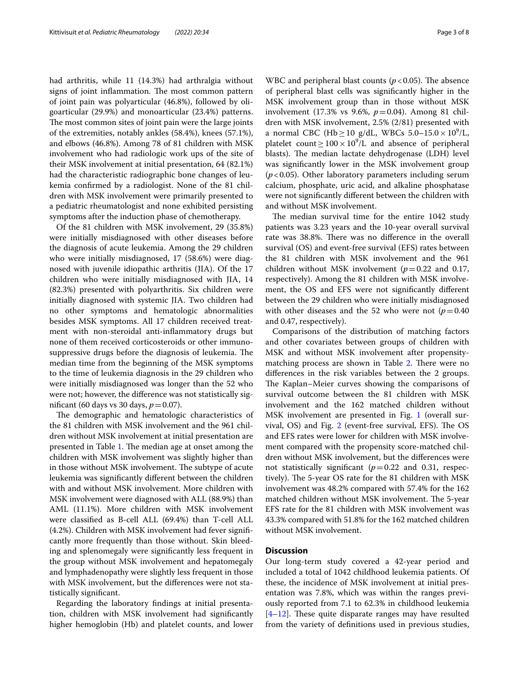had arthritis, while 11 (14.3%) had arthralgia without signs of joint inflammation. The most common pattern of joint pain was polyarticular (46.8%), followed by oligoarticular (29.9%) and monoarticular (23.4%) patterns. The most common sites of joint pain were the large joints of the extremities, notably ankles (58.4%), knees (57.1%), and elbows (46.8%). Among 78 of 81 children with MSK involvement who had radiologic work ups of the site of their MSK involvement at initial presentation, 64 (82.1%) had the characteristic radiographic bone changes of leukemia confrmed by a radiologist. None of the 81 children with MSK involvement were primarily presented to a pediatric rheumatologist and none exhibited persisting symptoms after the induction phase of chemotherapy.

Of the 81 children with MSK involvement, 29 (35.8%) were initially misdiagnosed with other diseases before the diagnosis of acute leukemia. Among the 29 children who were initially misdiagnosed, 17 (58.6%) were diagnosed with juvenile idiopathic arthritis (JIA). Of the 17 children who were initially misdiagnosed with JIA, 14 (82.3%) presented with polyarthritis. Six children were initially diagnosed with systemic JIA. Two children had no other symptoms and hematologic abnormalities besides MSK symptoms. All 17 children received treatment with non-steroidal anti-infammatory drugs but none of them received corticosteroids or other immunosuppressive drugs before the diagnosis of leukemia. The median time from the beginning of the MSK symptoms to the time of leukemia diagnosis in the 29 children who were initially misdiagnosed was longer than the 52 who were not; however, the diference was not statistically significant (60 days vs 30 days,  $p = 0.07$ ).

The demographic and hematologic characteristics of the 81 children with MSK involvement and the 961 children without MSK involvement at initial presentation are presented in Table [1.](#page-4-0) The median age at onset among the children with MSK involvement was slightly higher than in those without MSK involvement. The subtype of acute leukemia was signifcantly diferent between the children with and without MSK involvement. More children with MSK involvement were diagnosed with ALL (88.9%) than AML (11.1%). More children with MSK involvement were classifed as B-cell ALL (69.4%) than T-cell ALL (4.2%). Children with MSK involvement had fever signifcantly more frequently than those without. Skin bleeding and splenomegaly were signifcantly less frequent in the group without MSK involvement and hepatomegaly and lymphadenopathy were slightly less frequent in those with MSK involvement, but the diferences were not statistically signifcant.

Regarding the laboratory fndings at initial presentation, children with MSK involvement had signifcantly higher hemoglobin (Hb) and platelet counts, and lower

WBC and peripheral blast counts  $(p<0.05)$ . The absence of peripheral blast cells was signifcantly higher in the MSK involvement group than in those without MSK involvement (17.3% vs 9.6%, *p*=0.04). Among 81 children with MSK involvement, 2.5% (2/81) presented with a normal CBC (Hb ≥ 10 g/dL, WBCs 5.0–15.0 × 10<sup>9</sup>/L, platelet count  $\geq 100 \times 10^9$ /L and absence of peripheral blasts). The median lactate dehydrogenase (LDH) level was signifcantly lower in the MSK involvement group (*p*<0.05). Other laboratory parameters including serum calcium, phosphate, uric acid, and alkaline phosphatase were not signifcantly diferent between the children with and without MSK involvement.

The median survival time for the entire 1042 study patients was 3.23 years and the 10-year overall survival rate was 38.8%. There was no difference in the overall survival (OS) and event-free survival (EFS) rates between the 81 children with MSK involvement and the 961 children without MSK involvement  $(p=0.22$  and 0.17, respectively). Among the 81 children with MSK involvement, the OS and EFS were not signifcantly diferent between the 29 children who were initially misdiagnosed with other diseases and the 52 who were not  $(p=0.40)$ and 0.47, respectively).

Comparisons of the distribution of matching factors and other covariates between groups of children with MSK and without MSK involvement after propensity-matching process are shown in Table [2](#page-5-0). There were no diferences in the risk variables between the 2 groups. The Kaplan–Meier curves showing the comparisons of survival outcome between the 81 children with MSK involvement and the 162 matched children without MSK involvement are presented in Fig. [1](#page-3-0) (overall survival, OS) and Fig.  $2$  (event-free survival, EFS). The OS and EFS rates were lower for children with MSK involvement compared with the propensity score-matched children without MSK involvement, but the diferences were not statistically significant  $(p=0.22$  and 0.31, respectively). The 5-year OS rate for the 81 children with MSK involvement was 48.2% compared with 57.4% for the 162 matched children without MSK involvement. The 5-year EFS rate for the 81 children with MSK involvement was 43.3% compared with 51.8% for the 162 matched children without MSK involvement.

# **Discussion**

Our long-term study covered a 42-year period and included a total of 1042 childhood leukemia patients. Of these, the incidence of MSK involvement at initial presentation was 7.8%, which was within the ranges previously reported from 7.1 to 62.3% in childhood leukemia  $[4-12]$  $[4-12]$ . These quite disparate ranges may have resulted from the variety of defnitions used in previous studies,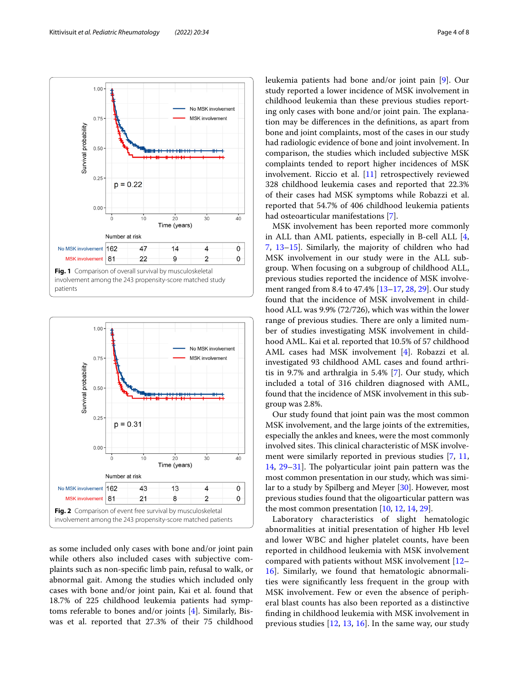

<span id="page-3-0"></span>

<span id="page-3-1"></span>as some included only cases with bone and/or joint pain while others also included cases with subjective complaints such as non-specifc limb pain, refusal to walk, or abnormal gait. Among the studies which included only cases with bone and/or joint pain, Kai et al. found that 18.7% of 225 childhood leukemia patients had symptoms referable to bones and/or joints [\[4](#page-6-3)]. Similarly, Biswas et al. reported that 27.3% of their 75 childhood leukemia patients had bone and/or joint pain [\[9](#page-6-12)]. Our study reported a lower incidence of MSK involvement in childhood leukemia than these previous studies reporting only cases with bone and/or joint pain. The explanation may be diferences in the defnitions, as apart from bone and joint complaints, most of the cases in our study had radiologic evidence of bone and joint involvement. In comparison, the studies which included subjective MSK complaints tended to report higher incidences of MSK involvement. Riccio et al. [[11\]](#page-6-13) retrospectively reviewed 328 childhood leukemia cases and reported that 22.3% of their cases had MSK symptoms while Robazzi et al. reported that 54.7% of 406 childhood leukemia patients had osteoarticular manifestations [[7\]](#page-6-14).

MSK involvement has been reported more commonly in ALL than AML patients, especially in B-cell ALL [\[4](#page-6-3), [7,](#page-6-14) [13](#page-6-5)[–15\]](#page-6-6). Similarly, the majority of children who had MSK involvement in our study were in the ALL subgroup. When focusing on a subgroup of childhood ALL, previous studies reported the incidence of MSK involvement ranged from 8.4 to 47.4% [\[13](#page-6-5)[–17](#page-6-9), [28](#page-7-6), [29\]](#page-7-7). Our study found that the incidence of MSK involvement in childhood ALL was 9.9% (72/726), which was within the lower range of previous studies. There are only a limited number of studies investigating MSK involvement in childhood AML. Kai et al. reported that 10.5% of 57 childhood AML cases had MSK involvement [\[4](#page-6-3)]. Robazzi et al. investigated 93 childhood AML cases and found arthritis in 9.7% and arthralgia in 5.4% [[7\]](#page-6-14). Our study, which included a total of 316 children diagnosed with AML, found that the incidence of MSK involvement in this subgroup was 2.8%.

Our study found that joint pain was the most common MSK involvement, and the large joints of the extremities, especially the ankles and knees, were the most commonly involved sites. This clinical characteristic of MSK involvement were similarly reported in previous studies [[7,](#page-6-14) [11](#page-6-13), [14,](#page-6-8)  $29-31$  $29-31$ ]. The polyarticular joint pain pattern was the most common presentation in our study, which was similar to a study by Spilberg and Meyer [\[30\]](#page-7-9). However, most previous studies found that the oligoarticular pattern was the most common presentation [[10](#page-6-15), [12,](#page-6-4) [14](#page-6-8), [29\]](#page-7-7).

Laboratory characteristics of slight hematologic abnormalities at initial presentation of higher Hb level and lower WBC and higher platelet counts, have been reported in childhood leukemia with MSK involvement compared with patients without MSK involvement [[12–](#page-6-4) [16\]](#page-6-7). Similarly, we found that hematologic abnormalities were signifcantly less frequent in the group with MSK involvement. Few or even the absence of peripheral blast counts has also been reported as a distinctive fnding in childhood leukemia with MSK involvement in previous studies  $[12, 13, 16]$  $[12, 13, 16]$  $[12, 13, 16]$  $[12, 13, 16]$  $[12, 13, 16]$ . In the same way, our study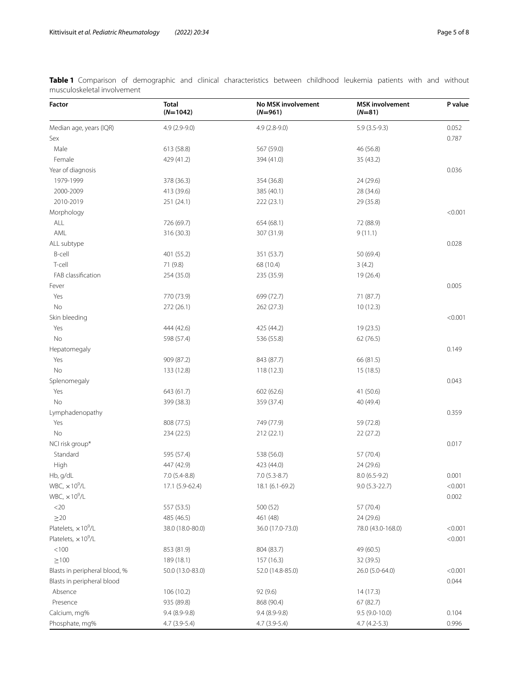<span id="page-4-0"></span>**Table 1** Comparison of demographic and clinical characteristics between childhood leukemia patients with and without musculoskeletal involvement

| <b>Factor</b>                 | <b>Total</b><br>$(N=1042)$ | No MSK involvement<br>$(N=961)$ | <b>MSK</b> involvement<br>$(N=81)$ | P value |
|-------------------------------|----------------------------|---------------------------------|------------------------------------|---------|
| Median age, years (IQR)       | $4.9(2.9-9.0)$             | $4.9(2.8-9.0)$                  | $5.9(3.5-9.3)$                     | 0.052   |
| Sex                           |                            |                                 |                                    | 0.787   |
| Male                          | 613 (58.8)                 | 567 (59.0)                      | 46 (56.8)                          |         |
| Female                        | 429 (41.2)                 | 394 (41.0)                      | 35 (43.2)                          |         |
| Year of diagnosis             |                            |                                 |                                    | 0.036   |
| 1979-1999                     | 378 (36.3)                 | 354 (36.8)                      | 24 (29.6)                          |         |
| 2000-2009                     | 413 (39.6)                 | 385 (40.1)                      | 28 (34.6)                          |         |
| 2010-2019                     | 251 (24.1)                 | 222 (23.1)                      | 29 (35.8)                          |         |
| Morphology                    |                            |                                 |                                    | < 0.001 |
| ALL                           | 726 (69.7)                 | 654 (68.1)                      | 72 (88.9)                          |         |
| AML                           | 316 (30.3)                 | 307 (31.9)                      | 9(11.1)                            |         |
| ALL subtype                   |                            |                                 |                                    | 0.028   |
| B-cell                        | 401 (55.2)                 | 351 (53.7)                      | 50 (69.4)                          |         |
| T-cell                        | 71 (9.8)                   | 68 (10.4)                       | 3(4.2)                             |         |
| FAB classification            | 254 (35.0)                 | 235 (35.9)                      | 19 (26.4)                          |         |
| Fever                         |                            |                                 |                                    | 0.005   |
| Yes                           | 770 (73.9)                 | 699 (72.7)                      | 71 (87.7)                          |         |
| No                            | 272 (26.1)                 | 262 (27.3)                      | 10(12.3)                           |         |
| Skin bleeding                 |                            |                                 |                                    | < 0.001 |
| Yes                           | 444 (42.6)                 | 425 (44.2)                      | 19 (23.5)                          |         |
| No                            | 598 (57.4)                 | 536 (55.8)                      | 62 (76.5)                          |         |
| Hepatomegaly                  |                            |                                 |                                    | 0.149   |
| Yes                           | 909 (87.2)                 | 843 (87.7)                      | 66 (81.5)                          |         |
| No                            | 133 (12.8)                 | 118(12.3)                       | 15(18.5)                           |         |
| Splenomegaly                  |                            |                                 |                                    | 0.043   |
| Yes                           | 643 (61.7)                 | 602(62.6)                       | 41 (50.6)                          |         |
| No                            | 399 (38.3)                 | 359 (37.4)                      | 40 (49.4)                          |         |
| Lymphadenopathy               |                            |                                 |                                    | 0.359   |
| Yes                           | 808 (77.5)                 | 749 (77.9)                      | 59 (72.8)                          |         |
| <b>No</b>                     | 234 (22.5)                 | 212(22.1)                       | 22(27.2)                           |         |
| NCI risk group*               |                            |                                 |                                    | 0.017   |
| Standard                      | 595 (57.4)                 | 538 (56.0)                      | 57 (70.4)                          |         |
| High                          | 447 (42.9)                 | 423 (44.0)                      | 24 (29.6)                          |         |
| Hb, g/dL                      | $7.0(5.4-8.8)$             | $7.0(5.3-8.7)$                  | $8.0(6.5-9.2)$                     | 0.001   |
| $WBC$ , $\times 10^9/L$       | 17.1 (5.9-62.4)            | 18.1 (6.1-69.2)                 | $9.0(5.3-22.7)$                    | < 0.001 |
| WBC, $\times 10^9$ /L         |                            |                                 |                                    | 0.002   |
| $<$ 20 $\,$                   | 557 (53.5)                 | 500 (52)                        | 57 (70.4)                          |         |
| $\geq$ 20                     | 485 (46.5)                 | 461 (48)                        | 24 (29.6)                          |         |
| Platelets, $\times 10^9$ /L   | 38.0 (18.0-80.0)           | 36.0 (17.0-73.0)                | 78.0 (43.0-168.0)                  | < 0.001 |
| Platelets, $\times 10^9$ /L   |                            |                                 |                                    | < 0.001 |
| < 100                         | 853 (81.9)                 | 804 (83.7)                      | 49 (60.5)                          |         |
|                               |                            |                                 |                                    |         |
| $\geq 100$                    | 189 (18.1)                 | 157 (16.3)                      | 32 (39.5)                          |         |
| Blasts in peripheral blood, % | 50.0 (13.0-83.0)           | 52.0 (14.8-85.0)                | 26.0 (5.0-64.0)                    | < 0.001 |
| Blasts in peripheral blood    |                            |                                 |                                    | 0.044   |
| Absence                       | 106 (10.2)                 | 92 (9.6)                        | 14(17.3)                           |         |
| Presence                      | 935 (89.8)                 | 868 (90.4)                      | 67 (82.7)                          |         |
| Calcium, mg%                  | $9.4(8.9-9.8)$             | $9.4(8.9-9.8)$                  | $9.5(9.0-10.0)$                    | 0.104   |
| Phosphate, mg%                | 4.7 (3.9-5.4)              | 4.7 (3.9-5.4)                   | $4.7(4.2-5.3)$                     | 0.996   |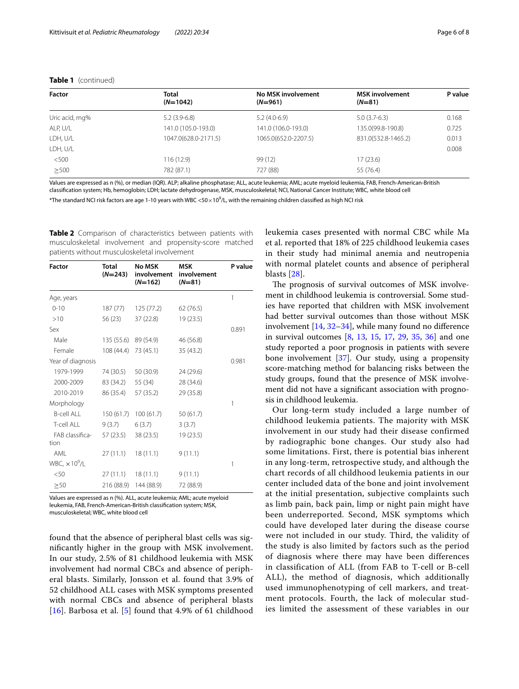| Factor         | Total<br>$(N=1042)$  | No MSK involvement<br>$(N=961)$ | <b>MSK</b> involvement<br>$(N=81)$ | P value |
|----------------|----------------------|---------------------------------|------------------------------------|---------|
| Uric acid, mg% | $5.2(3.9-6.8)$       | $5.2(4.0-6.9)$                  | $5.0(3.7-6.3)$                     | 0.168   |
| ALP, U/L       | 141.0 (105.0-193.0)  | 141.0 (106.0-193.0)             | 135.0(99.8-190.8)                  | 0.725   |
| LDH, U/L       | 1047.0(628.0-2171.5) | 1065.0(652.0-2207.5)            | 831.0(532.8-1465.2)                | 0.013   |
| LDH, U/L       |                      |                                 |                                    | 0.008   |
| < 500          | 116 (12.9)           | 99 (12)                         | 17(23.6)                           |         |
| >500           | 782 (87.1)           | 727 (88)                        | 55 (76.4)                          |         |

## **Table 1** (continued)

Values are expressed as n (%), or median (IQR). ALP; alkaline phosphatase; ALL, acute leukemia; AML; acute myeloid leukemia, FAB, French-American-British classifcation system; Hb, hemoglobin; LDH; lactate dehydrogenase, MSK, musculoskeletal; NCI, National Cancer Institute; WBC, white blood cell

 $^*$ The standard NCI risk factors are age 1-10 years with WBC <50 $\times$ 10 $^9$ /L, with the remaining children classified as high NCI risk

<span id="page-5-0"></span>**Table 2** Comparison of characteristics between patients with musculoskeletal involvement and propensity-score matched patients without musculoskeletal involvement

| Factor                           | <b>Total</b><br>$(N=243)$ | <b>No MSK</b><br>involvement<br>$(N=162)$ | <b>MSK</b><br>involvement<br>$(N=81)$ | P value |
|----------------------------------|---------------------------|-------------------------------------------|---------------------------------------|---------|
| Age, years                       |                           |                                           |                                       | 1       |
| $0 - 10$                         | 187 (77)                  | 125 (77.2)                                | 62 (76.5)                             |         |
| >10                              | 56 (23)                   | 37 (22.8)                                 | 19 (23.5)                             |         |
| Sex                              |                           |                                           |                                       | 0.891   |
| Male                             | 135 (55.6)                | 89 (54.9)                                 | 46 (56.8)                             |         |
| Female                           | 108 (44.4)                | 73 (45.1)                                 | 35 (43.2)                             |         |
| Year of diagnosis                |                           |                                           |                                       | 0.981   |
| 1979-1999                        | 74 (30.5)                 | 50 (30.9)                                 | 24 (29.6)                             |         |
| 2000-2009                        | 83 (34.2)                 | 55 (34)                                   | 28 (34.6)                             |         |
| 2010-2019                        | 86 (35.4)                 | 57 (35.2)                                 | 29 (35.8)                             |         |
| Morphology                       |                           |                                           |                                       | 1       |
| <b>B-cell ALL</b>                | 150 (61.7)                | 100(61.7)                                 | 50(61.7)                              |         |
| T-cell ALL                       | 9(3.7)                    | 6(3.7)                                    | 3(3.7)                                |         |
| FAB classifica-<br>tion          | 57 (23.5)                 | 38 (23.5)                                 | 19 (23.5)                             |         |
| AMI                              | 27(11.1)                  | 18(11.1)                                  | 9(11.1)                               |         |
| WBC, $\times$ 10 <sup>9</sup> /L |                           |                                           |                                       | 1       |
| < 50                             | 27 (11.1)                 | 18(11.1)                                  | 9(11.1)                               |         |
| $\geq 50$                        | 216 (88.9)                | 144 (88.9)                                | 72 (88.9)                             |         |

Values are expressed as n (%). ALL, acute leukemia; AML; acute myeloid leukemia, FAB, French-American-British classifcation system; MSK, musculoskeletal; WBC, white blood cell

found that the absence of peripheral blast cells was signifcantly higher in the group with MSK involvement. In our study, 2.5% of 81 childhood leukemia with MSK involvement had normal CBCs and absence of peripheral blasts. Similarly, Jonsson et al. found that 3.9% of 52 childhood ALL cases with MSK symptoms presented with normal CBCs and absence of peripheral blasts [[16](#page-6-7)]. Barbosa et al. [[5\]](#page-6-16) found that  $4.9\%$  of 61 childhood leukemia cases presented with normal CBC while Ma et al. reported that 18% of 225 childhood leukemia cases in their study had minimal anemia and neutropenia with normal platelet counts and absence of peripheral blasts [\[28](#page-7-6)].

The prognosis of survival outcomes of MSK involvement in childhood leukemia is controversial. Some studies have reported that children with MSK involvement had better survival outcomes than those without MSK involvement [[14,](#page-6-8) [32](#page-7-10)[–34](#page-7-11)], while many found no diference in survival outcomes [[8,](#page-6-17) [13](#page-6-5), [15](#page-6-6), [17,](#page-6-9) [29](#page-7-7), [35](#page-7-12), [36\]](#page-7-13) and one study reported a poor prognosis in patients with severe bone involvement [\[37](#page-7-14)]. Our study, using a propensity score-matching method for balancing risks between the study groups, found that the presence of MSK involvement did not have a signifcant association with prognosis in childhood leukemia.

Our long-term study included a large number of childhood leukemia patients. The majority with MSK involvement in our study had their disease confirmed by radiographic bone changes. Our study also had some limitations. First, there is potential bias inherent in any long-term, retrospective study, and although the chart records of all childhood leukemia patients in our center included data of the bone and joint involvement at the initial presentation, subjective complaints such as limb pain, back pain, limp or night pain might have been underreported. Second, MSK symptoms which could have developed later during the disease course were not included in our study. Third, the validity of the study is also limited by factors such as the period of diagnosis where there may have been differences in classification of ALL (from FAB to T-cell or B-cell ALL), the method of diagnosis, which additionally used immunophenotyping of cell markers, and treatment protocols. Fourth, the lack of molecular studies limited the assessment of these variables in our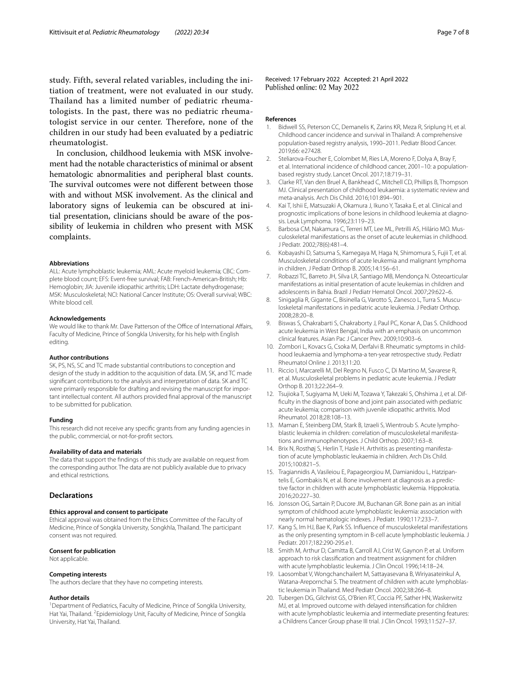study. Fifth, several related variables, including the initiation of treatment, were not evaluated in our study. Thailand has a limited number of pediatric rheumatologists. In the past, there was no pediatric rheumatologist service in our center. Therefore, none of the children in our study had been evaluated by a pediatric rheumatologist.

In conclusion, childhood leukemia with MSK involvement had the notable characteristics of minimal or absent hematologic abnormalities and peripheral blast counts. The survival outcomes were not different between those with and without MSK involvement. As the clinical and laboratory signs of leukemia can be obscured at initial presentation, clinicians should be aware of the possibility of leukemia in children who present with MSK complaints.

#### **Abbreviations**

ALL: Acute lymphoblastic leukemia; AML: Acute myeloid leukemia; CBC: Complete blood count; EFS: Event-free survival; FAB: French-American-British; Hb: Hemoglobin; JIA: Juvenile idiopathic arthritis; LDH: Lactate dehydrogenase; MSK: Musculoskeletal; NCI: National Cancer Institute; OS: Overall survival; WBC: White blood cell.

#### **Acknowledgements**

We would like to thank Mr. Dave Patterson of the Office of International Affairs, Faculty of Medicine, Prince of Songkla University, for his help with English editing.

#### **Author contributions**

SK, PS, NS, SC and TC made substantial contributions to conception and design of the study in addition to the acquisition of data. EM, SK, and TC made signifcant contributions to the analysis and interpretation of data. SK and TC were primarily responsible for drafting and revising the manuscript for important intellectual content. All authors provided fnal approval of the manuscript to be submitted for publication.

#### **Funding**

This research did not receive any specifc grants from any funding agencies in the public, commercial, or not-for-proft sectors.

#### **Availability of data and materials**

The data that support the fndings of this study are available on request from the corresponding author. The data are not publicly available due to privacy and ethical restrictions.

### **Declarations**

## **Ethics approval and consent to participate**

Ethical approval was obtained from the Ethics Committee of the Faculty of Medicine, Prince of Songkla University, Songkhla, Thailand. The participant consent was not required.

#### **Consent for publication**

Not applicable.

#### **Competing interests**

The authors declare that they have no competing interests.

#### **Author details**

<sup>1</sup> Department of Pediatrics, Faculty of Medicine, Prince of Songkla University, Hat Yai, Thailand. <sup>2</sup> Epidemiology Unit, Faculty of Medicine, Prince of Songkla University, Hat Yai, Thailand.

Received: 17 February 2022 Accepted: 21 April 2022 Published online: 02 May 2022

#### **References**

- <span id="page-6-0"></span>1. Bidwell SS, Peterson CC, Demanelis K, Zarins KR, Meza R, Sriplung H, et al. Childhood cancer incidence and survival in Thailand: A comprehensive population-based registry analysis, 1990–2011. Pediatr Blood Cancer. 2019;66: e27428.
- <span id="page-6-1"></span>2. Steliarova-Foucher E, Colombet M, Ries LA, Moreno F, Dolya A, Bray F, et al. International incidence of childhood cancer, 2001–10: a populationbased registry study. Lancet Oncol. 2017;18:719–31.
- <span id="page-6-2"></span>3. Clarke RT, Van den Bruel A, Bankhead C, Mitchell CD, Phillips B, Thompson MJ. Clinical presentation of childhood leukaemia: a systematic review and meta-analysis. Arch Dis Child. 2016;101:894–901.
- <span id="page-6-3"></span>4. Kai T, Ishii E, Matsuzaki A, Okamura J, Ikuno Y, Tasaka E, et al. Clinical and prognostic implications of bone lesions in childhood leukemia at diagnosis. Leuk Lymphoma. 1996;23:119–23.
- <span id="page-6-16"></span>5. Barbosa CM, Nakamura C, Terreri MT, Lee ML, Petrilli AS, Hilário MO. Musculoskeletal manifestations as the onset of acute leukemias in childhood. J Pediatr. 2002;78(6):481–4.
- 6. Kobayashi D, Satsuma S, Kamegaya M, Haga N, Shimomura S, Fujii T, et al. Musculoskeletal conditions of acute leukemia and malignant lymphoma in children. J Pediatr Orthop B. 2005;14:156–61.
- <span id="page-6-14"></span>7. Robazzi TC, Barreto JH, Silva LR, Santiago MB, Mendonça N. Osteoarticular manifestations as initial presentation of acute leukemias in children and adolescents in Bahia. Brazil J Pediatr Hematol Oncol. 2007;29:622–6.
- <span id="page-6-17"></span>8. Sinigaglia R, Gigante C, Bisinella G, Varotto S, Zanesco L, Turra S. Musculoskeletal manifestations in pediatric acute leukemia. J Pediatr Orthop. 2008;28:20–8.
- <span id="page-6-12"></span>9. Biswas S, Chakrabarti S, Chakraborty J, Paul PC, Konar A, Das S. Childhood acute leukemia in West Bengal, India with an emphasis on uncommon clinical features. Asian Pac J Cancer Prev. 2009;10:903–6.
- <span id="page-6-15"></span>10. Zombori L, Kovacs G, Csoka M, Derfalvi B. Rheumatic symptoms in childhood leukaemia and lymphoma-a ten-year retrospective study. Pediatr Rheumatol Online J. 2013;11:20.
- <span id="page-6-13"></span>11. Riccio I, Marcarelli M, Del Regno N, Fusco C, Di Martino M, Savarese R, et al. Musculoskeletal problems in pediatric acute leukemia. J Pediatr Orthop B. 2013;22:264–9.
- <span id="page-6-4"></span>12. Tsujioka T, Sugiyama M, Ueki M, Tozawa Y, Takezaki S, Ohshima J, et al. Diffculty in the diagnosis of bone and joint pain associated with pediatric acute leukemia; comparison with juvenile idiopathic arthritis. Mod Rheumatol. 2018;28:108–13.
- <span id="page-6-5"></span>13. Maman E, Steinberg DM, Stark B, Izraeli S, Wientroub S. Acute lymphoblastic leukemia in children: correlation of musculoskeletal manifestations and immunophenotypes. J Child Orthop. 2007;1:63–8.
- <span id="page-6-8"></span>14. Brix N, Rosthøj S, Herlin T, Hasle H. Arthritis as presenting manifestation of acute lymphoblastic leukaemia in children. Arch Dis Child. 2015;100:821–5.
- <span id="page-6-6"></span>15. Tragiannidis A, Vasileiou E, Papageorgiou M, Damianidou L, Hatzipantelis E, Gombakis N, et al. Bone involvement at diagnosis as a predictive factor in children with acute lymphoblastic leukemia. Hippokratia. 2016;20:227–30.
- <span id="page-6-7"></span>16. Jonsson OG, Sartain P, Ducore JM, Buchanan GR. Bone pain as an initial symptom of childhood acute lymphoblastic leukemia: association with nearly normal hematologic indexes. J Pediatr. 1990;117:233–7.
- <span id="page-6-9"></span>17. Kang S, Im HJ, Bae K, Park SS. Infuence of musculoskeletal manifestations as the only presenting symptom in B-cell acute lymphoblastic leukemia. J Pediatr. 2017;182:290-295.e1.
- <span id="page-6-10"></span>18. Smith M, Arthur D, Camitta B, Carroll AJ, Crist W, Gaynon P, et al. Uniform approach to risk classifcation and treatment assignment for children with acute lymphoblastic leukemia. J Clin Oncol. 1996;14:18–24.
- <span id="page-6-11"></span>19. Laosombat V, Wongchanchailert M, Sattayasevana B, Wiriyasateinkul A, Watana-Arepornchai S. The treatment of children with acute lymphoblastic leukemia in Thailand. Med Pediatr Oncol. 2002;38:266–8.
- 20. Tubergen DG, Gilchrist GS, O'Brien RT, Coccia PF, Sather HN, Waskerwitz MJ, et al. Improved outcome with delayed intensifcation for children with acute lymphoblastic leukemia and intermediate presenting features: a Childrens Cancer Group phase III trial. J Clin Oncol. 1993;11:527–37.